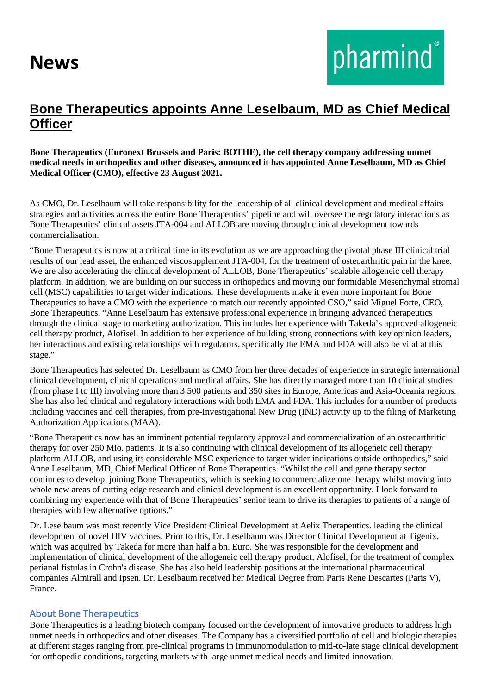## **News**

## **Bone Therapeutics appoints Anne Leselbaum, MD as Chief Medical Officer**

**Bone Therapeutics (Euronext Brussels and Paris: BOTHE), the cell therapy company addressing unmet medical needs in orthopedics and other diseases, announced it has appointed Anne Leselbaum, MD as Chief Medical Officer (CMO), effective 23 August 2021.**

As CMO, Dr. Leselbaum will take responsibility for the leadership of all clinical development and medical affairs strategies and activities across the entire Bone Therapeutics' pipeline and will oversee the regulatory interactions as Bone Therapeutics' clinical assets JTA-004 and ALLOB are moving through clinical development towards commercialisation.

"Bone Therapeutics is now at a critical time in its evolution as we are approaching the pivotal phase III clinical trial results of our lead asset, the enhanced viscosupplement JTA-004, for the treatment of osteoarthritic pain in the knee. We are also accelerating the clinical development of ALLOB, Bone Therapeutics' scalable allogeneic cell therapy platform. In addition, we are building on our success in orthopedics and moving our formidable Mesenchymal stromal cell (MSC) capabilities to target wider indications. These developments make it even more important for Bone Therapeutics to have a CMO with the experience to match our recently appointed CSO," said Miguel Forte, CEO, Bone Therapeutics. "Anne Leselbaum has extensive professional experience in bringing advanced therapeutics through the clinical stage to marketing authorization. This includes her experience with Takeda's approved allogeneic cell therapy product, Alofisel. In addition to her experience of building strong connections with key opinion leaders, her interactions and existing relationships with regulators, specifically the EMA and FDA will also be vital at this stage."

Bone Therapeutics has selected Dr. Leselbaum as CMO from her three decades of experience in strategic international clinical development, clinical operations and medical affairs. She has directly managed more than 10 clinical studies (from phase I to III) involving more than 3 500 patients and 350 sites in Europe, Americas and Asia-Oceania regions. She has also led clinical and regulatory interactions with both EMA and FDA. This includes for a number of products including vaccines and cell therapies, from pre-Investigational New Drug (IND) activity up to the filing of Marketing Authorization Applications (MAA).

"Bone Therapeutics now has an imminent potential regulatory approval and commercialization of an osteoarthritic therapy for over 250 Mio. patients. It is also continuing with clinical development of its allogeneic cell therapy platform ALLOB, and using its considerable MSC experience to target wider indications outside orthopedics," said Anne Leselbaum, MD, Chief Medical Officer of Bone Therapeutics. "Whilst the cell and gene therapy sector continues to develop, joining Bone Therapeutics, which is seeking to commercialize one therapy whilst moving into whole new areas of cutting edge research and clinical development is an excellent opportunity. I look forward to combining my experience with that of Bone Therapeutics' senior team to drive its therapies to patients of a range of therapies with few alternative options."

Dr. Leselbaum was most recently Vice President Clinical Development at Aelix Therapeutics. leading the clinical development of novel HIV vaccines. Prior to this, Dr. Leselbaum was Director Clinical Development at Tigenix, which was acquired by Takeda for more than half a bn. Euro. She was responsible for the development and implementation of clinical development of the allogeneic cell therapy product, Alofisel, for the treatment of complex perianal fistulas in Crohn's disease. She has also held leadership positions at the international pharmaceutical companies Almirall and Ipsen. Dr. Leselbaum received her Medical Degree from Paris Rene Descartes (Paris V), France.

## About Bone Therapeutics

Bone Therapeutics is a leading biotech company focused on the development of innovative products to address high unmet needs in orthopedics and other diseases. The Company has a diversified portfolio of cell and biologic therapies at different stages ranging from pre-clinical programs in immunomodulation to mid-to-late stage clinical development for orthopedic conditions, targeting markets with large unmet medical needs and limited innovation.